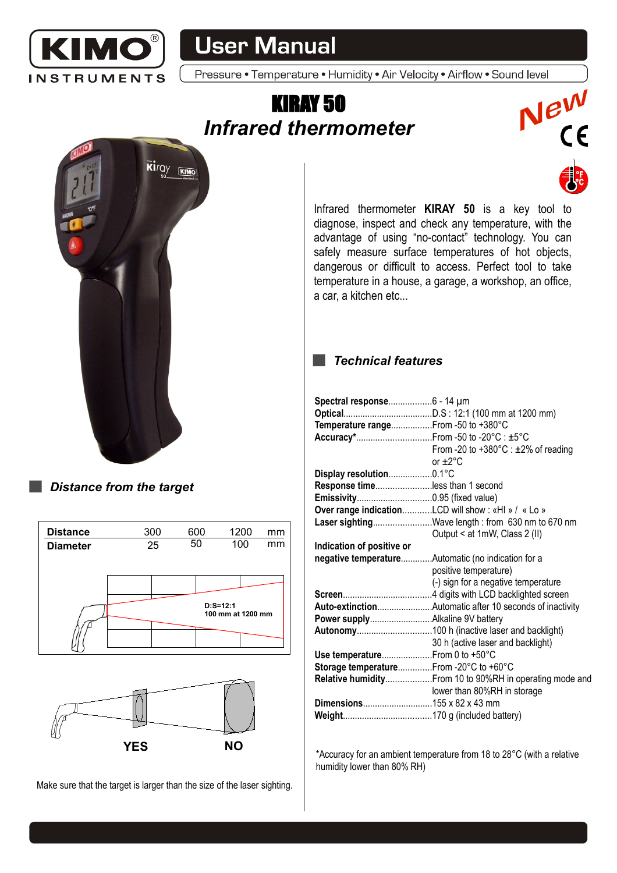

## **User Manual**

Pressure • Temperature • Humidity • Air Velocity • Airflow • Sound level

## KIRAY 50 *Infrared thermometer*





*Distance from the target*





Make sure that the target is larger than the size of the laser sighting.

Infrared thermometer **KIRAY 50** is a key tool to diagnose, inspect and check any temperature, with the advantage of using "no-contact" technology. You can safely measure surface temperatures of hot objects, dangerous or difficult to access. Perfect tool to take temperature in a house, a garage, a workshop, an office, a car, a kitchen etc...

## *Technical features*  $\sim 10$

| Temperature rangeFrom -50 to +380°C    |                                                          |
|----------------------------------------|----------------------------------------------------------|
|                                        |                                                          |
|                                        | From -20 to +380 $^{\circ}$ C : ±2% of reading           |
|                                        | or $+2^{\circ}$ C                                        |
|                                        |                                                          |
| Display resolution0.1°C                |                                                          |
| Response timeless than 1 second        |                                                          |
|                                        |                                                          |
|                                        | Over range indicationLCD will show: «HI » / « Lo »       |
|                                        | Laser sightingWave length: from 630 nm to 670 nm         |
|                                        | Output < at 1mW, Class 2 (II)                            |
| Indication of positive or              |                                                          |
|                                        | negative temperatureAutomatic (no indication for a       |
|                                        | positive temperature)                                    |
|                                        | (-) sign for a negative temperature                      |
|                                        |                                                          |
|                                        | Auto-extinctionAutomatic after 10 seconds of inactivity  |
|                                        |                                                          |
|                                        |                                                          |
|                                        | 30 h (active laser and backlight)                        |
| Use temperature From 0 to +50°C        |                                                          |
| Storage temperatureFrom -20°C to +60°C |                                                          |
|                                        | Relative humidity From 10 to 90%RH in operating mode and |
|                                        | lower than 80%RH in storage                              |
| Dimensions155 x 82 x 43 mm             |                                                          |
|                                        |                                                          |
|                                        |                                                          |

\*Accuracy for an ambient temperature from 18 to 28°C (with a relative humidity lower than 80% RH)